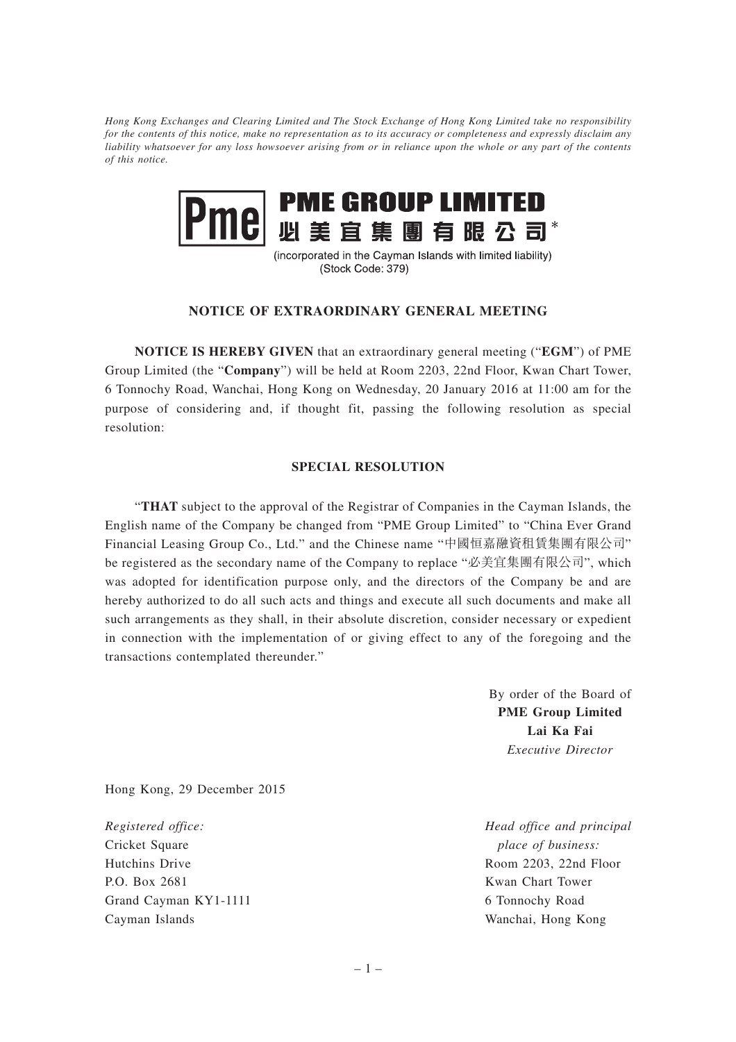*Hong Kong Exchanges and Clearing Limited and The Stock Exchange of Hong Kong Limited take no responsibility for the contents of this notice, make no representation as to its accuracy or completeness and expressly disclaim any liability whatsoever for any loss howsoever arising from or in reliance upon the whole or any part of the contents of this notice.*



(incorporated in the Cayman Islands with limited liability) (Stock Code: 379)

## **NOTICE OF EXTRAORDINARY GENERAL MEETING**

**NOTICE IS HEREBY GIVEN** that an extraordinary general meeting ("**EGM**") of PME Group Limited (the "**Company**") will be held at Room 2203, 22nd Floor, Kwan Chart Tower, 6 Tonnochy Road, Wanchai, Hong Kong on Wednesday, 20 January 2016 at 11:00 am for the purpose of considering and, if thought fit, passing the following resolution as special resolution:

## **SPECIAL RESOLUTION**

"**THAT** subject to the approval of the Registrar of Companies in the Cayman Islands, the English name of the Company be changed from "PME Group Limited" to "China Ever Grand Financial Leasing Group Co., Ltd." and the Chinese name "中國恒嘉融資租賃集團有限公司" be registered as the secondary name of the Company to replace "必美宜集團有限公司", which was adopted for identification purpose only, and the directors of the Company be and are hereby authorized to do all such acts and things and execute all such documents and make all such arrangements as they shall, in their absolute discretion, consider necessary or expedient in connection with the implementation of or giving effect to any of the foregoing and the transactions contemplated thereunder."

> By order of the Board of **PME Group Limited Lai Ka Fai** *Executive Director*

Hong Kong, 29 December 2015

*Registered office:* Cricket Square Hutchins Drive P.O. Box 2681 Grand Cayman KY1-1111 Cayman Islands

*Head office and principal place of business:* Room 2203, 22nd Floor Kwan Chart Tower 6 Tonnochy Road Wanchai, Hong Kong